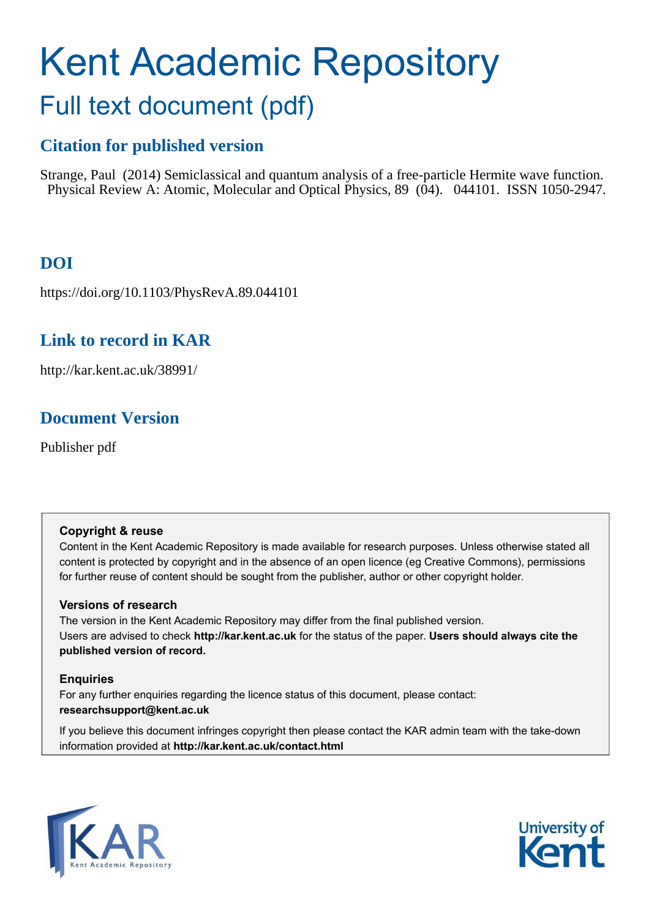# <span id="page-0-0"></span>Kent Academic Repository Full text document (pdf)

# **Citation for published version**

Strange, Paul (2014) Semiclassical and quantum analysis of a free-particle Hermite wave function. Physical Review A: Atomic, Molecular and Optical Physics, 89 (04). 044101. ISSN 1050-2947.

# **DOI**

https://doi.org/10.1103/PhysRevA.89.044101

## **Link to record in KAR**

http://kar.kent.ac.uk/38991/

## **Document Version**

Publisher pdf

## **Copyright & reuse**

Content in the Kent Academic Repository is made available for research purposes. Unless otherwise stated all content is protected by copyright and in the absence of an open licence (eg Creative Commons), permissions for further reuse of content should be sought from the publisher, author or other copyright holder.

## **Versions of research**

The version in the Kent Academic Repository may differ from the final published version. Users are advised to check **http://kar.kent.ac.uk** for the status of the paper. **Users should always cite the published version of record.**

## **Enquiries**

For any further enquiries regarding the licence status of this document, please contact: **researchsupport@kent.ac.uk**

If you believe this document infringes copyright then please contact the KAR admin team with the take-down information provided at **http://kar.kent.ac.uk/contact.html**



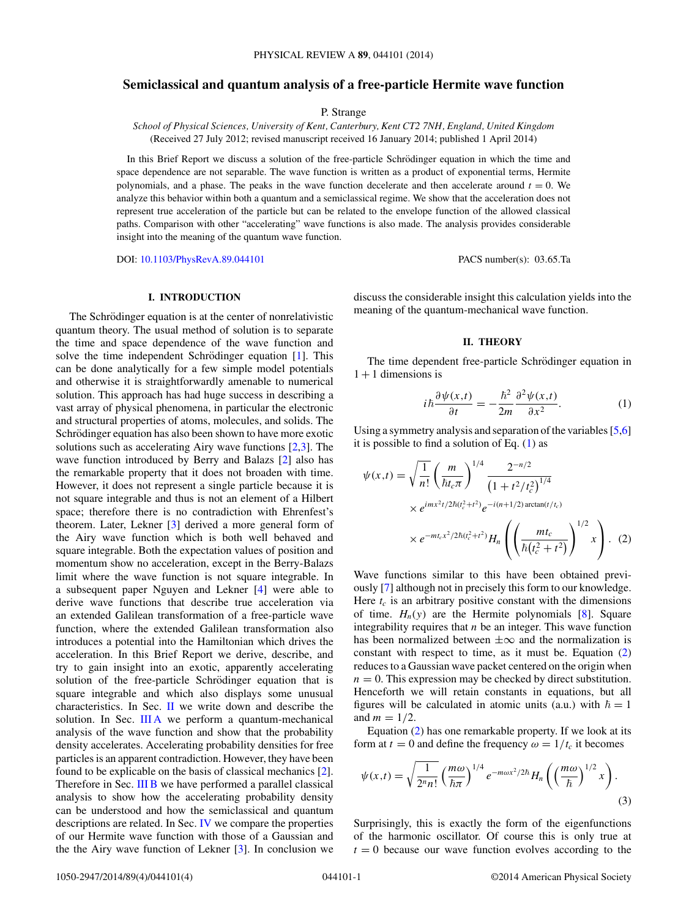#### <span id="page-1-0"></span>**Semiclassical and quantum analysis of a free-particle Hermite wave function**

P. Strange

*School of Physical Sciences, University of Kent, Canterbury, Kent CT2 7NH, England, United Kingdom* (Received 27 July 2012; revised manuscript received 16 January 2014; published 1 April 2014)

In this Brief Report we discuss a solution of the free-particle Schrödinger equation in which the time and space dependence are not separable. The wave function is written as a product of exponential terms, Hermite polynomials, and a phase. The peaks in the wave function decelerate and then accelerate around  $t = 0$ . We analyze this behavior within both a quantum and a semiclassical regime. We show that the acceleration does not represent true acceleration of the particle but can be related to the envelope function of the allowed classical paths. Comparison with other "accelerating" wave functions is also made. The analysis provides considerable insight into the meaning of the quantum wave function.

DOI: [10.1103/PhysRevA.89.044101](http://dx.doi.org/10.1103/PhysRevA.89.044101) PACS number(s): 03.65.Ta

#### **I. INTRODUCTION**

The Schrödinger equation is at the center of nonrelativistic quantum theory. The usual method of solution is to separate the time and space dependence of the wave function and solve the time independent Schrödinger equation  $[1]$  $[1]$ . This can be done analytically for a few simple model potentials and otherwise it is straightforwardly amenable to numerical solution. This approach has had huge success in describing a vast array of physical phenomena, in particular the electronic and structural properties of atoms, molecules, and solids. The Schrödinger equation has also been shown to have more exotic solutions such as accelerating Airy wave functions [\[2,3\]](#page-3-0). The wave function introduced by Berry and Balazs [\[2\]](#page-3-0) also has the remarkable property that it does not broaden with time. However, it does not represent a single particle because it is not square integrable and thus is not an element of a Hilbert space; therefore there is no contradiction with Ehrenfest's theorem. Later, Lekner [\[3\]](#page-3-0) derived a more general form of the Airy wave function which is both well behaved and square integrable. Both the expectation values of position and momentum show no acceleration, except in the Berry-Balazs limit where the wave function is not square integrable. In a subsequent paper Nguyen and Lekner [\[4\]](#page-3-0) were able to derive wave functions that describe true acceleration via an extended Galilean transformation of a free-particle wave function, where the extended Galilean transformation also introduces a potential into the Hamiltonian which drives the acceleration. In this Brief Report we derive, describe, and try to gain insight into an exotic, apparently accelerating solution of the free-particle Schrödinger equation that is square integrable and which also displays some unusual characteristics. In Sec. [II](#page-0-0) we write down and describe the solution. In Sec. III A we perform a quantum-mechanical analysis of the wave function and show that the probability density accelerates. Accelerating probability densities for free particles is an apparent contradiction. However, they have been found to be explicable on the basis of classical mechanics [\[2\]](#page-3-0). Therefore in Sec. III B we have performed a parallel classical analysis to show how the accelerating probability density can be understood and how the semiclassical and quantum descriptions are related. In Sec. [IV](#page-2-0) we compare the properties of our Hermite wave function with those of a Gaussian and the the Airy wave function of Lekner [\[3\]](#page-3-0). In conclusion we

discuss the considerable insight this calculation yields into the meaning of the quantum-mechanical wave function.

#### **II. THEORY**

The time dependent free-particle Schrödinger equation in  $1 + 1$  dimensions is

$$
i\hbar \frac{\partial \psi(x,t)}{\partial t} = -\frac{\hbar^2}{2m} \frac{\partial^2 \psi(x,t)}{\partial x^2}.
$$
 (1)

Using a symmetry analysis and separation of the variables [\[5,6\]](#page-3-0) it is possible to find a solution of Eq.  $(1)$  as

$$
\psi(x,t) = \sqrt{\frac{1}{n!}} \left(\frac{m}{\hbar t_c \pi}\right)^{1/4} \frac{2^{-n/2}}{\left(1 + t^2/t_c^2\right)^{1/4}} \times e^{imx^2t/2\hbar(t_c^2 + t^2)} e^{-i(n+1/2)\arctan(t/t_c)} \times e^{-mt_c x^2/2\hbar(t_c^2 + t^2)} H_n\left(\left(\frac{mt_c}{\hbar(t_c^2 + t^2)}\right)^{1/2} x\right). (2)
$$

Wave functions similar to this have been obtained previously [\[7\]](#page-3-0) although not in precisely this form to our knowledge. Here  $t_c$  is an arbitrary positive constant with the dimensions of time.  $H_n(y)$  are the Hermite polynomials [\[8\]](#page-3-0). Square integrability requires that  $n$  be an integer. This wave function has been normalized between  $\pm \infty$  and the normalization is constant with respect to time, as it must be. Equation [\(2\)](#page-0-0) reduces to a Gaussian wave packet centered on the origin when  $n = 0$ . This expression may be checked by direct substitution. Henceforth we will retain constants in equations, but all figures will be calculated in atomic units (a.u.) with  $\hbar = 1$ and  $m = 1/2$ .

Equation [\(2\)](#page-0-0) has one remarkable property. If we look at its form at  $t = 0$  and define the frequency  $\omega = 1/t_c$  it becomes

$$
\psi(x,t) = \sqrt{\frac{1}{2^n n!}} \left(\frac{m\omega}{\hbar\pi}\right)^{1/4} e^{-m\omega x^2/2\hbar} H_n\left(\left(\frac{m\omega}{\hbar}\right)^{1/2} x\right).
$$
\n(3)

Surprisingly, this is exactly the form of the eigenfunctions of the harmonic oscillator. Of course this is only true at  $t = 0$  because our wave function evolves according to the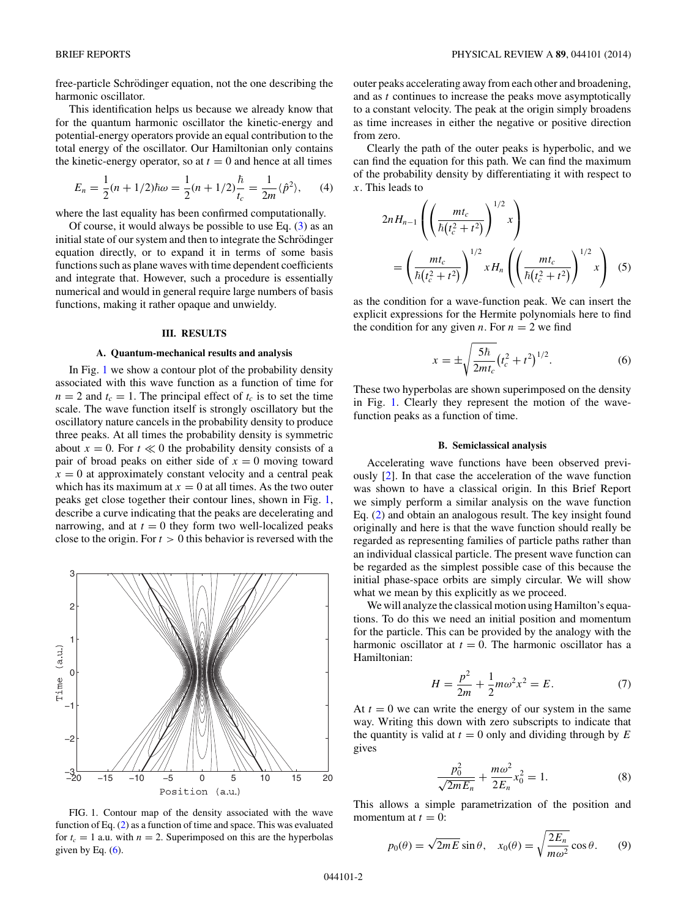<span id="page-2-0"></span>free-particle Schrödinger equation, not the one describing the harmonic oscillator.

This identification helps us because we already know that for the quantum harmonic oscillator the kinetic-energy and potential-energy operators provide an equal contribution to the total energy of the oscillator. Our Hamiltonian only contains the kinetic-energy operator, so at  $t = 0$  and hence at all times

$$
E_n = \frac{1}{2}(n + 1/2)\hbar\omega = \frac{1}{2}(n + 1/2)\frac{\hbar}{t_c} = \frac{1}{2m}\langle\hat{p}^2\rangle, \qquad (4)
$$

where the last equality has been confirmed computationally.

Of course, it would always be possible to use Eq.  $(3)$  as an initial state of our system and then to integrate the Schrödinger equation directly, or to expand it in terms of some basis functions such as plane waves with time dependent coefficients and integrate that. However, such a procedure is essentially numerical and would in general require large numbers of basis functions, making it rather opaque and unwieldy.

#### **III. RESULTS**

#### **A. Quantum-mechanical results and analysis**

In Fig. [1](#page-1-0) we show a contour plot of the probability density associated with this wave function as a function of time for  $n = 2$  and  $t_c = 1$ . The principal effect of  $t_c$  is to set the time scale. The wave function itself is strongly oscillatory but the oscillatory nature cancels in the probability density to produce three peaks. At all times the probability density is symmetric about  $x = 0$ . For  $t \ll 0$  the probability density consists of a pair of broad peaks on either side of  $x = 0$  moving toward  $x = 0$  at approximately constant velocity and a central peak which has its maximum at  $x = 0$  at all times. As the two outer peaks get close together their contour lines, shown in Fig. [1,](#page-1-0) describe a curve indicating that the peaks are decelerating and narrowing, and at  $t = 0$  they form two well-localized peaks close to the origin. For  $t > 0$  this behavior is reversed with the



FIG. 1. Contour map of the density associated with the wave function of Eq. [\(2\)](#page-0-0) as a function of time and space. This was evaluated for  $t_c = 1$  a.u. with  $n = 2$ . Superimposed on this are the hyperbolas given by Eq.  $(6)$ .

outer peaks accelerating away from each other and broadening, and as t continues to increase the peaks move asymptotically to a constant velocity. The peak at the origin simply broadens as time increases in either the negative or positive direction from zero.

Clearly the path of the outer peaks is hyperbolic, and we can find the equation for this path. We can find the maximum of the probability density by differentiating it with respect to  $x$ . This leads to

$$
2nH_{n-1}\left(\left(\frac{mt_c}{\hbar(t_c^2+t^2)}\right)^{1/2}x\right)
$$
  
=  $\left(\frac{mt_c}{\hbar(t_c^2+t^2)}\right)^{1/2}xH_n\left(\left(\frac{mt_c}{\hbar(t_c^2+t^2)}\right)^{1/2}x\right)$  (5)

as the condition for a wave-function peak. We can insert the explicit expressions for the Hermite polynomials here to find the condition for any given *n*. For  $n = 2$  we find

$$
x = \pm \sqrt{\frac{5\hbar}{2mt_c}} (t_c^2 + t^2)^{1/2}.
$$
 (6)

These two hyperbolas are shown superimposed on the density in Fig. [1.](#page-1-0) Clearly they represent the motion of the wavefunction peaks as a function of time.

#### **B. Semiclassical analysis**

Accelerating wave functions have been observed previously [\[2\]](#page-3-0). In that case the acceleration of the wave function was shown to have a classical origin. In this Brief Report we simply perform a similar analysis on the wave function Eq. [\(2\)](#page-0-0) and obtain an analogous result. The key insight found originally and here is that the wave function should really be regarded as representing families of particle paths rather than an individual classical particle. The present wave function can be regarded as the simplest possible case of this because the initial phase-space orbits are simply circular. We will show what we mean by this explicitly as we proceed.

We will analyze the classical motion using Hamilton's equations. To do this we need an initial position and momentum for the particle. This can be provided by the analogy with the harmonic oscillator at  $t = 0$ . The harmonic oscillator has a Hamiltonian:

$$
H = \frac{p^2}{2m} + \frac{1}{2}m\omega^2 x^2 = E.
$$
 (7)

At  $t = 0$  we can write the energy of our system in the same way. Writing this down with zero subscripts to indicate that the quantity is valid at  $t = 0$  only and dividing through by  $E$ gives

$$
\frac{p_0^2}{\sqrt{2mE_n}} + \frac{m\omega^2}{2E_n} x_0^2 = 1.
$$
 (8)

This allows a simple parametrization of the position and momentum at  $t = 0$ :

$$
p_0(\theta) = \sqrt{2mE} \sin \theta, \quad x_0(\theta) = \sqrt{\frac{2E_n}{m\omega^2}} \cos \theta. \tag{9}
$$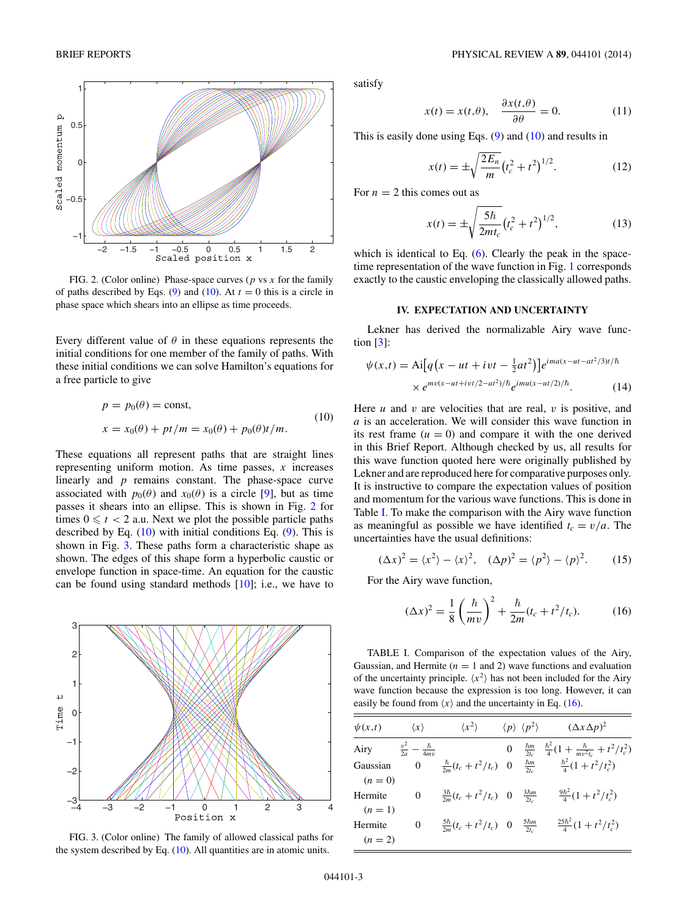<span id="page-3-0"></span>

FIG. 2. (Color online) Phase-space curves ( $p$  vs  $x$  for the family of paths described by Eqs. [\(9\)](#page-1-0) and [\(10\)](#page-2-0). At  $t = 0$  this is a circle in phase space which shears into an ellipse as time proceeds.

Every different value of  $\theta$  in these equations represents the initial conditions for one member of the family of paths. With these initial conditions we can solve Hamilton's equations for a free particle to give

$$
p = p_0(\theta) = \text{const},
$$
  
\n
$$
x = x_0(\theta) + pt/m = x_0(\theta) + p_0(\theta)t/m.
$$
\n(10)

These equations all represent paths that are straight lines representing uniform motion. As time passes,  $x$  increases linearly and  $p$  remains constant. The phase-space curve associated with  $p_0(\theta)$  and  $x_0(\theta)$  is a circle [9], but as time passes it shears into an ellipse. This is shown in Fig. [2](#page-2-0) for times  $0 \leq t < 2$  a.u. Next we plot the possible particle paths described by Eq.  $(10)$  with initial conditions Eq.  $(9)$ . This is shown in Fig. [3.](#page-2-0) These paths form a characteristic shape as shown. The edges of this shape form a hyperbolic caustic or envelope function in space-time. An equation for the caustic can be found using standard methods  $[10]$ ; i.e., we have to



FIG. 3. (Color online) The family of allowed classical paths for the system described by Eq. [\(10\)](#page-2-0). All quantities are in atomic units.

satisfy

$$
x(t) = x(t, \theta), \quad \frac{\partial x(t, \theta)}{\partial \theta} = 0.
$$
 (11)

This is easily done using Eqs.  $(9)$  and  $(10)$  and results in

$$
x(t) = \pm \sqrt{\frac{2E_n}{m}} \left(t_c^2 + t^2\right)^{1/2}.
$$
 (12)

For  $n = 2$  this comes out as

$$
x(t) = \pm \sqrt{\frac{5\hbar}{2mt_c}} (t_c^2 + t^2)^{1/2},
$$
 (13)

which is identical to Eq.  $(6)$ . Clearly the peak in the spacetime representation of the wave function in Fig. [1](#page-1-0) corresponds exactly to the caustic enveloping the classically allowed paths.

#### **IV. EXPECTATION AND UNCERTAINTY**

Lekner has derived the normalizable Airy wave function [3]:

$$
\psi(x,t) = \text{Ai}\big[q\big(x - ut + ivt - \frac{1}{2}at^2\big)\big]e^{ima(x - ut - at^2/3)t/\hbar}
$$

$$
\times e^{mv(x - ut + ivt/2 - at^2)/\hbar}e^{imu(x - ut/2)/\hbar}.\tag{14}
$$

Here  $u$  and  $v$  are velocities that are real,  $v$  is positive, and a is an acceleration. We will consider this wave function in its rest frame  $(u = 0)$  and compare it with the one derived in this Brief Report. Although checked by us, all results for this wave function quoted here were originally published by Lekner and are reproduced here for comparative purposes only. It is instructive to compare the expectation values of position and momentum for the various wave functions. This is done in Table [I.](#page-2-0) To make the comparison with the Airy wave function as meaningful as possible we have identified  $t_c = v/a$ . The uncertainties have the usual definitions:

$$
(\Delta x)^2 = \langle x^2 \rangle - \langle x \rangle^2, \quad (\Delta p)^2 = \langle p^2 \rangle - \langle p \rangle^2. \tag{15}
$$

For the Airy wave function,

$$
(\Delta x)^2 = \frac{1}{8} \left( \frac{\hbar}{mv} \right)^2 + \frac{\hbar}{2m} (t_c + t^2 / t_c).
$$
 (16)

TABLE I. Comparison of the expectation values of the Airy, Gaussian, and Hermite ( $n = 1$  and 2) wave functions and evaluation of the uncertainty principle.  $\langle x^2 \rangle$  has not been included for the Airy wave function because the expression is too long. However, it can easily be found from  $\langle x \rangle$  and the uncertainty in Eq. [\(16\)](#page-2-0).

| $\psi(x,t)$ | $\langle x \rangle$                | $\langle x^2 \rangle$                |              | $\langle p \rangle \langle p^2 \rangle$ | $(\Delta x \Delta p)^2$                                                           |
|-------------|------------------------------------|--------------------------------------|--------------|-----------------------------------------|-----------------------------------------------------------------------------------|
| Airy        | $rac{v^2}{2a} - \frac{\hbar}{4mv}$ |                                      | $\mathbf{0}$ |                                         | $\frac{\hbar m}{2t_c}$ $\frac{\hbar^2}{4}(1 + \frac{\hbar}{mv^2t_c} + t^2/t_c^2)$ |
| Gaussian    | $\mathbf{0}$                       | $\frac{\hbar}{2m}(t_c + t^2/t_c)$ 0  |              | $rac{\hbar m}{2t_c}$                    | $\frac{\hbar^2}{4}(1+t^2/t_c^2)$                                                  |
| $(n=0)$     |                                    |                                      |              |                                         |                                                                                   |
| Hermite     | $\Omega$                           | $\frac{3\hbar}{2m}(t_c + t^2/t_c)$ 0 |              | $rac{3\hbar m}{2t_c}$                   | $\frac{9\hbar^2}{4}(1+t^2/t_c^2)$                                                 |
| $(n = 1)$   |                                    |                                      |              |                                         |                                                                                   |
| Hermite     | $\Omega$                           | $\frac{5\hbar}{2m}(t_c+t^2/t_c)$ 0   |              | $rac{5\hbar m}{2t_c}$                   | $\frac{25\hbar^2}{4}(1+t^2/t_c^2)$                                                |
| $(n = 2)$   |                                    |                                      |              |                                         |                                                                                   |